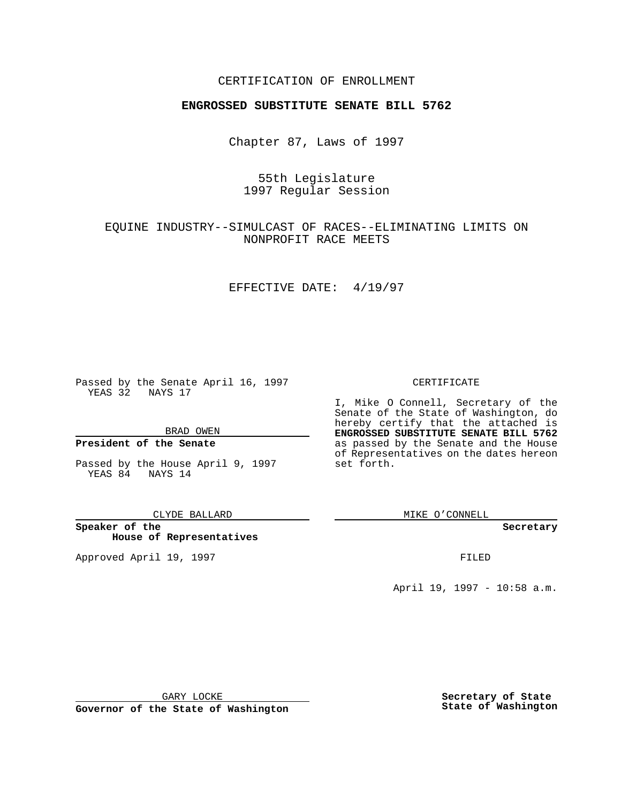### CERTIFICATION OF ENROLLMENT

# **ENGROSSED SUBSTITUTE SENATE BILL 5762**

Chapter 87, Laws of 1997

55th Legislature 1997 Regular Session

## EQUINE INDUSTRY--SIMULCAST OF RACES--ELIMINATING LIMITS ON NONPROFIT RACE MEETS

### EFFECTIVE DATE: 4/19/97

Passed by the Senate April 16, 1997 YEAS 32 NAYS 17

BRAD OWEN

### **President of the Senate**

Passed by the House April 9, 1997 YEAS 84 NAYS 14

CLYDE BALLARD

**Speaker of the House of Representatives**

Approved April 19, 1997 **FILED** 

#### CERTIFICATE

I, Mike O Connell, Secretary of the Senate of the State of Washington, do hereby certify that the attached is **ENGROSSED SUBSTITUTE SENATE BILL 5762** as passed by the Senate and the House of Representatives on the dates hereon set forth.

MIKE O'CONNELL

**Secretary**

April 19, 1997 - 10:58 a.m.

GARY LOCKE

**Governor of the State of Washington**

**Secretary of State State of Washington**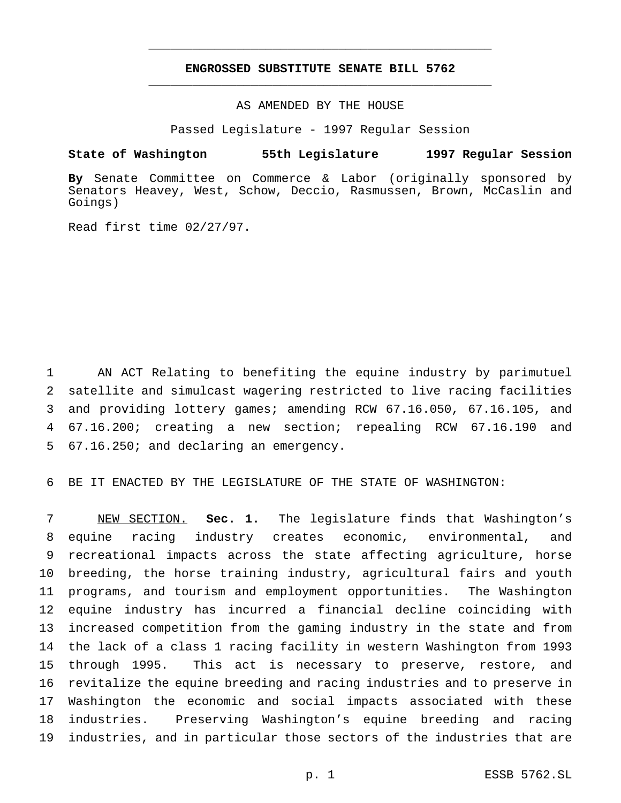## **ENGROSSED SUBSTITUTE SENATE BILL 5762** \_\_\_\_\_\_\_\_\_\_\_\_\_\_\_\_\_\_\_\_\_\_\_\_\_\_\_\_\_\_\_\_\_\_\_\_\_\_\_\_\_\_\_\_\_\_\_

\_\_\_\_\_\_\_\_\_\_\_\_\_\_\_\_\_\_\_\_\_\_\_\_\_\_\_\_\_\_\_\_\_\_\_\_\_\_\_\_\_\_\_\_\_\_\_

### AS AMENDED BY THE HOUSE

Passed Legislature - 1997 Regular Session

#### **State of Washington 55th Legislature 1997 Regular Session**

**By** Senate Committee on Commerce & Labor (originally sponsored by Senators Heavey, West, Schow, Deccio, Rasmussen, Brown, McCaslin and Goings)

Read first time 02/27/97.

 AN ACT Relating to benefiting the equine industry by parimutuel satellite and simulcast wagering restricted to live racing facilities and providing lottery games; amending RCW 67.16.050, 67.16.105, and 67.16.200; creating a new section; repealing RCW 67.16.190 and 67.16.250; and declaring an emergency.

BE IT ENACTED BY THE LEGISLATURE OF THE STATE OF WASHINGTON:

 NEW SECTION. **Sec. 1.** The legislature finds that Washington's equine racing industry creates economic, environmental, and recreational impacts across the state affecting agriculture, horse breeding, the horse training industry, agricultural fairs and youth programs, and tourism and employment opportunities. The Washington equine industry has incurred a financial decline coinciding with increased competition from the gaming industry in the state and from the lack of a class 1 racing facility in western Washington from 1993 through 1995. This act is necessary to preserve, restore, and revitalize the equine breeding and racing industries and to preserve in Washington the economic and social impacts associated with these industries. Preserving Washington's equine breeding and racing industries, and in particular those sectors of the industries that are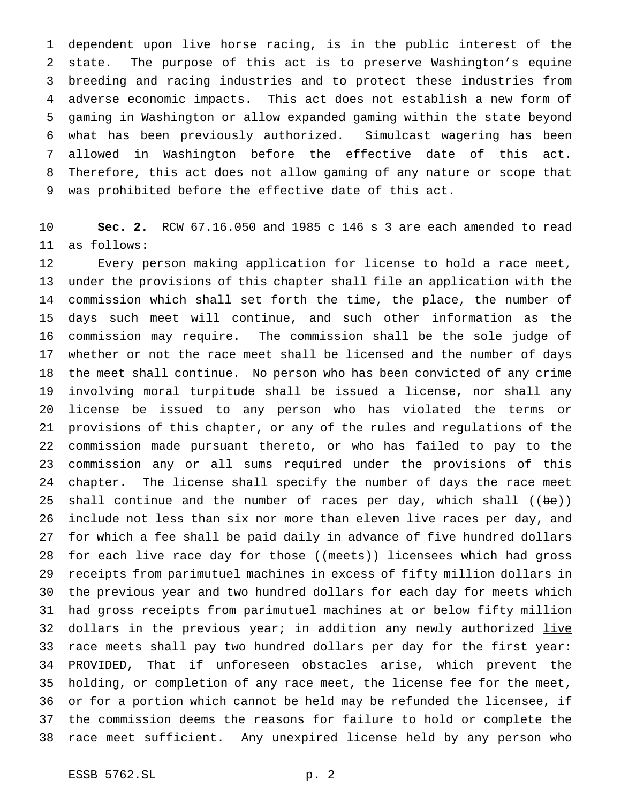dependent upon live horse racing, is in the public interest of the state. The purpose of this act is to preserve Washington's equine breeding and racing industries and to protect these industries from adverse economic impacts. This act does not establish a new form of gaming in Washington or allow expanded gaming within the state beyond what has been previously authorized. Simulcast wagering has been allowed in Washington before the effective date of this act. Therefore, this act does not allow gaming of any nature or scope that was prohibited before the effective date of this act.

 **Sec. 2.** RCW 67.16.050 and 1985 c 146 s 3 are each amended to read as follows:

 Every person making application for license to hold a race meet, under the provisions of this chapter shall file an application with the commission which shall set forth the time, the place, the number of days such meet will continue, and such other information as the commission may require. The commission shall be the sole judge of whether or not the race meet shall be licensed and the number of days the meet shall continue. No person who has been convicted of any crime involving moral turpitude shall be issued a license, nor shall any license be issued to any person who has violated the terms or provisions of this chapter, or any of the rules and regulations of the commission made pursuant thereto, or who has failed to pay to the commission any or all sums required under the provisions of this chapter. The license shall specify the number of days the race meet 25 shall continue and the number of races per day, which shall ((be)) 26 include not less than six nor more than eleven live races per day, and for which a fee shall be paid daily in advance of five hundred dollars 28 for each live race day for those ((meets)) licensees which had gross receipts from parimutuel machines in excess of fifty million dollars in the previous year and two hundred dollars for each day for meets which had gross receipts from parimutuel machines at or below fifty million 32 dollars in the previous year; in addition any newly authorized live race meets shall pay two hundred dollars per day for the first year: PROVIDED, That if unforeseen obstacles arise, which prevent the holding, or completion of any race meet, the license fee for the meet, or for a portion which cannot be held may be refunded the licensee, if the commission deems the reasons for failure to hold or complete the race meet sufficient. Any unexpired license held by any person who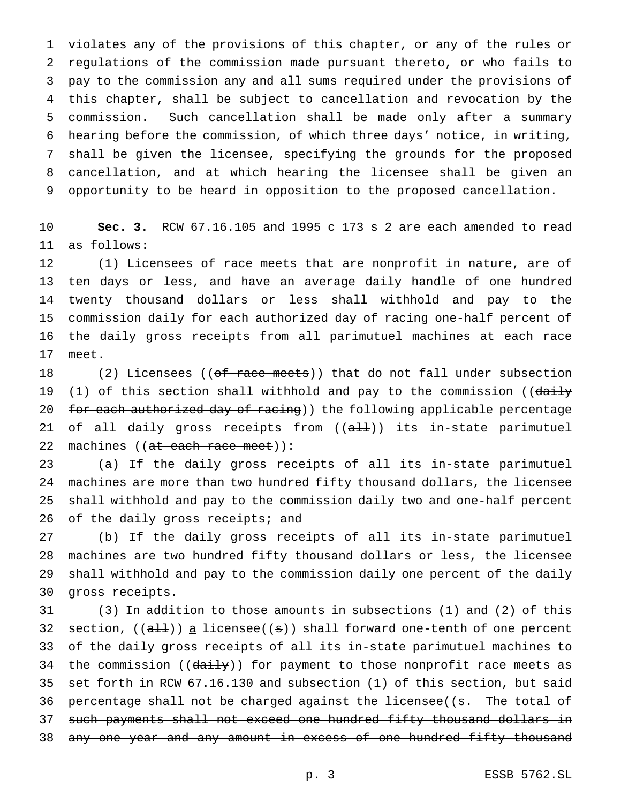violates any of the provisions of this chapter, or any of the rules or regulations of the commission made pursuant thereto, or who fails to pay to the commission any and all sums required under the provisions of this chapter, shall be subject to cancellation and revocation by the commission. Such cancellation shall be made only after a summary hearing before the commission, of which three days' notice, in writing, shall be given the licensee, specifying the grounds for the proposed cancellation, and at which hearing the licensee shall be given an opportunity to be heard in opposition to the proposed cancellation.

 **Sec. 3.** RCW 67.16.105 and 1995 c 173 s 2 are each amended to read as follows:

 (1) Licensees of race meets that are nonprofit in nature, are of ten days or less, and have an average daily handle of one hundred twenty thousand dollars or less shall withhold and pay to the commission daily for each authorized day of racing one-half percent of the daily gross receipts from all parimutuel machines at each race meet.

18 (2) Licensees ((of race meets)) that do not fall under subsection 19 (1) of this section shall withhold and pay to the commission ((daily 20 for each authorized day of racing)) the following applicable percentage 21 of all daily gross receipts from ((all)) its in-state parimutuel 22 machines ((at each race meet)):

23 (a) If the daily gross receipts of all its in-state parimutuel machines are more than two hundred fifty thousand dollars, the licensee shall withhold and pay to the commission daily two and one-half percent 26 of the daily gross receipts; and

27 (b) If the daily gross receipts of all its in-state parimutuel machines are two hundred fifty thousand dollars or less, the licensee shall withhold and pay to the commission daily one percent of the daily gross receipts.

 (3) In addition to those amounts in subsections (1) and (2) of this 32 section,  $((a+1))$  a licensee((s)) shall forward one-tenth of one percent 33 of the daily gross receipts of all its in-state parimutuel machines to 34 the commission (( $d$  $d$  $i$ H $y$ )) for payment to those nonprofit race meets as set forth in RCW 67.16.130 and subsection (1) of this section, but said 36 percentage shall not be charged against the licensee((s. The total of such payments shall not exceed one hundred fifty thousand dollars in 38 any one year and any amount in excess of one hundred fifty thousand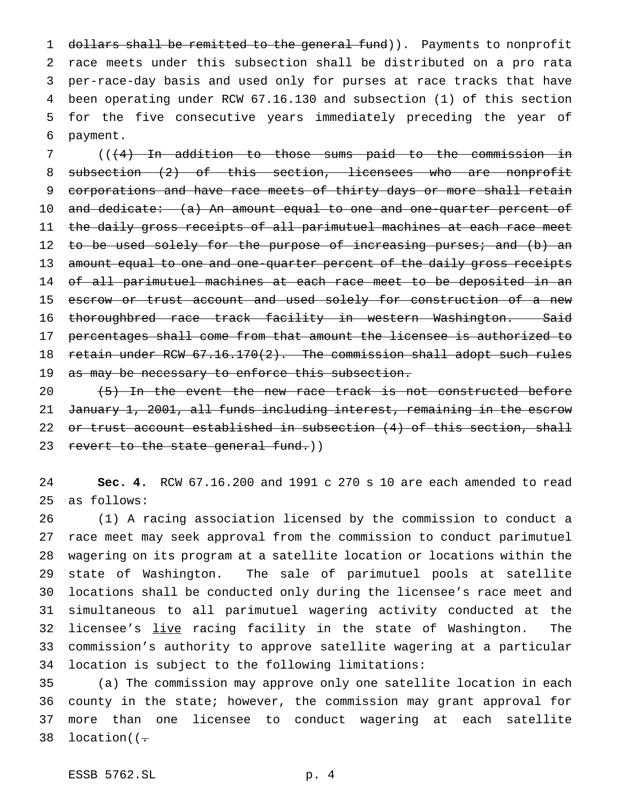1 dollars shall be remitted to the general fund)). Payments to nonprofit race meets under this subsection shall be distributed on a pro rata per-race-day basis and used only for purses at race tracks that have been operating under RCW 67.16.130 and subsection (1) of this section for the five consecutive years immediately preceding the year of payment.

 (((4) In addition to those sums paid to the commission in 8 subsection (2) of this section, licensees who are nonprofit 9 corporations and have race meets of thirty days or more shall retain 10 and dedicate: (a) An amount equal to one and one-quarter percent of the daily gross receipts of all parimutuel machines at each race meet 12 to be used solely for the purpose of increasing purses; and (b) an 13 amount equal to one and one-quarter percent of the daily gross receipts 14 of all parimutuel machines at each race meet to be deposited in an 15 escrow or trust account and used solely for construction of a new 16 thoroughbred race track facility in western Washington. Said percentages shall come from that amount the licensee is authorized to retain under RCW 67.16.170(2). The commission shall adopt such rules 19 as may be necessary to enforce this subsection.

 $(5)$  In the event the new race track is not constructed before January 1, 2001, all funds including interest, remaining in the escrow 22 or trust account established in subsection (4) of this section, shall 23 revert to the state general fund.))

 **Sec. 4.** RCW 67.16.200 and 1991 c 270 s 10 are each amended to read as follows:

 (1) A racing association licensed by the commission to conduct a race meet may seek approval from the commission to conduct parimutuel wagering on its program at a satellite location or locations within the state of Washington. The sale of parimutuel pools at satellite locations shall be conducted only during the licensee's race meet and simultaneous to all parimutuel wagering activity conducted at the 32 licensee's live racing facility in the state of Washington. The commission's authority to approve satellite wagering at a particular location is subject to the following limitations:

 (a) The commission may approve only one satellite location in each county in the state; however, the commission may grant approval for more than one licensee to conduct wagering at each satellite 38 location( $(-$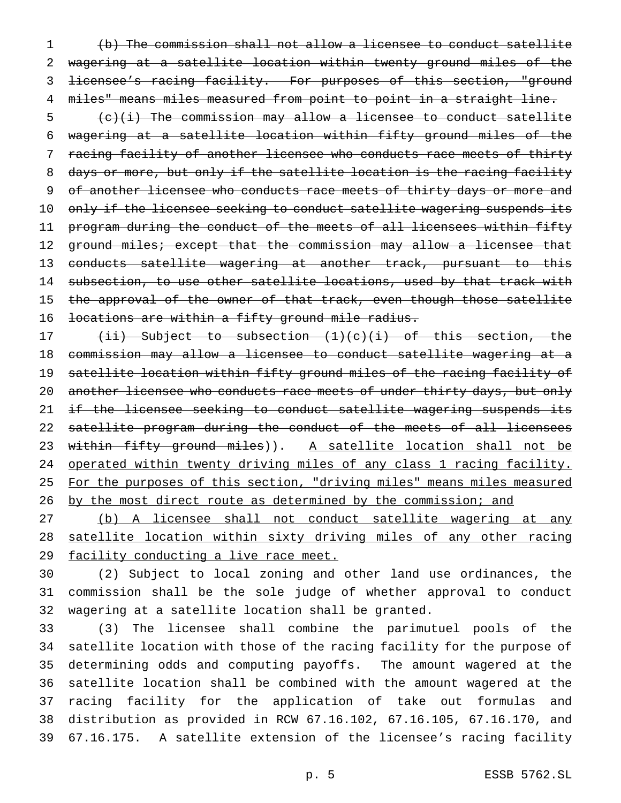(b) The commission shall not allow a licensee to conduct satellite wagering at a satellite location within twenty ground miles of the licensee's racing facility. For purposes of this section, "ground miles" means miles measured from point to point in a straight line.

 $\frac{1}{10}$  (c)(i) The commission may allow a licensee to conduct satellite 6 wagering at a satellite location within fifty ground miles of the 7 racing facility of another licensee who conducts race meets of thirty 8 days or more, but only if the satellite location is the racing facility 9 of another licensee who conducts race meets of thirty days or more and 10 only if the licensee seeking to conduct satellite wagering suspends its 11 program during the conduct of the meets of all licensees within fifty 12 ground miles; except that the commission may allow a licensee that 13 conducts satellite wagering at another track, pursuant to this 14 subsection, to use other satellite locations, used by that track with 15 the approval of the owner of that track, even though those satellite 16 locations are within a fifty ground mile radius.

17 (ii) Subject to subsection (1)(c)(i) of this section, the 18 commission may allow a licensee to conduct satellite wagering at a 19 satellite location within fifty ground miles of the racing facility of 20 another licensee who conducts race meets of under thirty days, but only 21 if the licensee seeking to conduct satellite wagering suspends its 22 satellite program during the conduct of the meets of all licensees 23 within fifty ground miles)). A satellite location shall not be 24 operated within twenty driving miles of any class 1 racing facility. 25 For the purposes of this section, "driving miles" means miles measured 26 by the most direct route as determined by the commission; and

27 (b) A licensee shall not conduct satellite wagering at any 28 satellite location within sixty driving miles of any other racing 29 facility conducting a live race meet.

30 (2) Subject to local zoning and other land use ordinances, the 31 commission shall be the sole judge of whether approval to conduct 32 wagering at a satellite location shall be granted.

 (3) The licensee shall combine the parimutuel pools of the satellite location with those of the racing facility for the purpose of determining odds and computing payoffs. The amount wagered at the satellite location shall be combined with the amount wagered at the racing facility for the application of take out formulas and distribution as provided in RCW 67.16.102, 67.16.105, 67.16.170, and 67.16.175. A satellite extension of the licensee's racing facility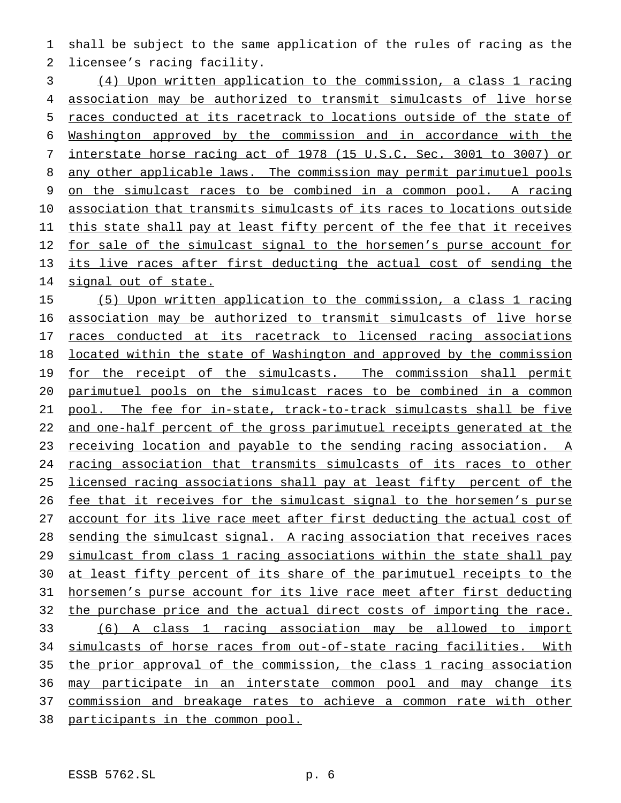shall be subject to the same application of the rules of racing as the licensee's racing facility.

 (4) Upon written application to the commission, a class 1 racing association may be authorized to transmit simulcasts of live horse races conducted at its racetrack to locations outside of the state of Washington approved by the commission and in accordance with the interstate horse racing act of 1978 (15 U.S.C. Sec. 3001 to 3007) or 8 any other applicable laws. The commission may permit parimutuel pools on the simulcast races to be combined in a common pool. A racing association that transmits simulcasts of its races to locations outside this state shall pay at least fifty percent of the fee that it receives 12 for sale of the simulcast signal to the horsemen's purse account for its live races after first deducting the actual cost of sending the signal out of state.

 (5) Upon written application to the commission, a class 1 racing association may be authorized to transmit simulcasts of live horse races conducted at its racetrack to licensed racing associations located within the state of Washington and approved by the commission 19 for the receipt of the simulcasts. The commission shall permit parimutuel pools on the simulcast races to be combined in a common pool. The fee for in-state, track-to-track simulcasts shall be five and one-half percent of the gross parimutuel receipts generated at the 23 receiving location and payable to the sending racing association. A racing association that transmits simulcasts of its races to other licensed racing associations shall pay at least fifty percent of the 26 fee that it receives for the simulcast signal to the horsemen's purse account for its live race meet after first deducting the actual cost of sending the simulcast signal. A racing association that receives races 29 simulcast from class 1 racing associations within the state shall pay 30 at least fifty percent of its share of the parimutuel receipts to the horsemen's purse account for its live race meet after first deducting the purchase price and the actual direct costs of importing the race. (6) A class 1 racing association may be allowed to import 34 simulcasts of horse races from out-of-state racing facilities. With the prior approval of the commission, the class 1 racing association may participate in an interstate common pool and may change its commission and breakage rates to achieve a common rate with other

participants in the common pool.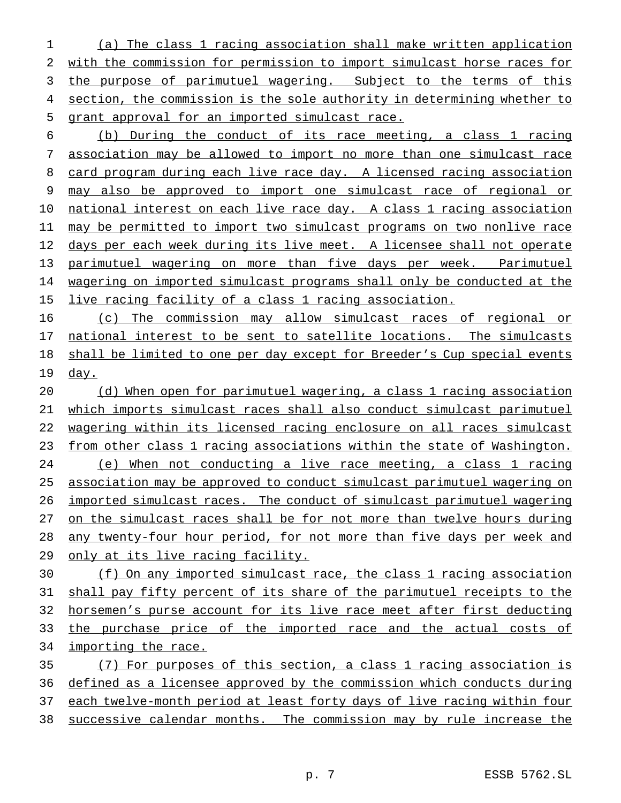(a) The class 1 racing association shall make written application with the commission for permission to import simulcast horse races for the purpose of parimutuel wagering. Subject to the terms of this section, the commission is the sole authority in determining whether to grant approval for an imported simulcast race.

 (b) During the conduct of its race meeting, a class 1 racing association may be allowed to import no more than one simulcast race 8 card program during each live race day. A licensed racing association may also be approved to import one simulcast race of regional or 10 national interest on each live race day. A class 1 racing association may be permitted to import two simulcast programs on two nonlive race days per each week during its live meet. A licensee shall not operate parimutuel wagering on more than five days per week. Parimutuel wagering on imported simulcast programs shall only be conducted at the 15 live racing facility of a class 1 racing association.

 (c) The commission may allow simulcast races of regional or 17 national interest to be sent to satellite locations. The simulcasts shall be limited to one per day except for Breeder's Cup special events 19 <u>day.</u>

 (d) When open for parimutuel wagering, a class 1 racing association which imports simulcast races shall also conduct simulcast parimutuel wagering within its licensed racing enclosure on all races simulcast from other class 1 racing associations within the state of Washington. (e) When not conducting a live race meeting, a class 1 racing association may be approved to conduct simulcast parimutuel wagering on imported simulcast races. The conduct of simulcast parimutuel wagering on the simulcast races shall be for not more than twelve hours during any twenty-four hour period, for not more than five days per week and 29 only at its live racing facility.

 (f) On any imported simulcast race, the class 1 racing association shall pay fifty percent of its share of the parimutuel receipts to the horsemen's purse account for its live race meet after first deducting 33 the purchase price of the imported race and the actual costs of importing the race.

 (7) For purposes of this section, a class 1 racing association is defined as a licensee approved by the commission which conducts during 37 each twelve-month period at least forty days of live racing within four successive calendar months. The commission may by rule increase the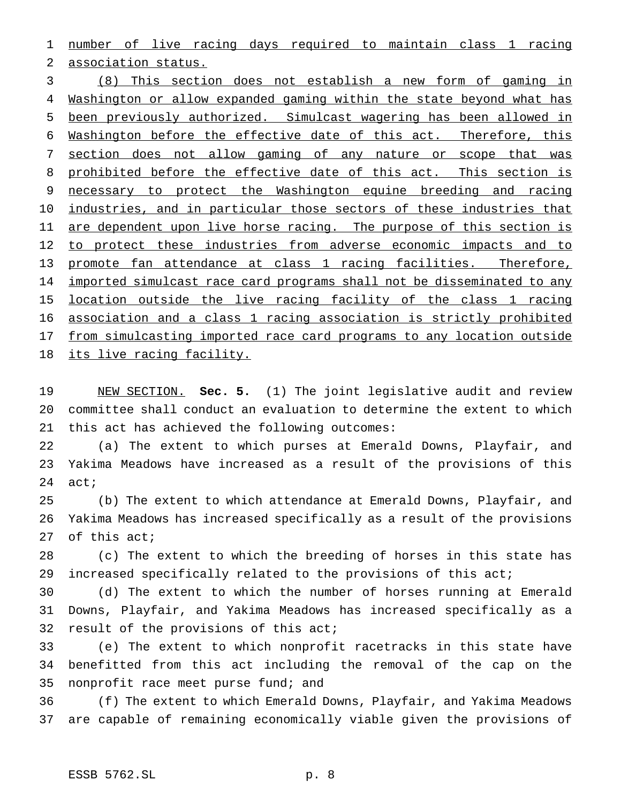number of live racing days required to maintain class 1 racing association status.

 (8) This section does not establish a new form of gaming in 4 Washington or allow expanded gaming within the state beyond what has been previously authorized. Simulcast wagering has been allowed in Washington before the effective date of this act. Therefore, this 7 section does not allow gaming of any nature or scope that was 8 prohibited before the effective date of this act. This section is necessary to protect the Washington equine breeding and racing 10 industries, and in particular those sectors of these industries that 11 are dependent upon live horse racing. The purpose of this section is 12 to protect these industries from adverse economic impacts and to promote fan attendance at class 1 racing facilities. Therefore, 14 imported simulcast race card programs shall not be disseminated to any location outside the live racing facility of the class 1 racing association and a class 1 racing association is strictly prohibited from simulcasting imported race card programs to any location outside 18 its live racing facility.

 NEW SECTION. **Sec. 5.** (1) The joint legislative audit and review committee shall conduct an evaluation to determine the extent to which this act has achieved the following outcomes:

 (a) The extent to which purses at Emerald Downs, Playfair, and Yakima Meadows have increased as a result of the provisions of this act;

 (b) The extent to which attendance at Emerald Downs, Playfair, and Yakima Meadows has increased specifically as a result of the provisions of this act;

 (c) The extent to which the breeding of horses in this state has increased specifically related to the provisions of this act;

 (d) The extent to which the number of horses running at Emerald Downs, Playfair, and Yakima Meadows has increased specifically as a 32 result of the provisions of this act;

 (e) The extent to which nonprofit racetracks in this state have benefitted from this act including the removal of the cap on the 35 nonprofit race meet purse fund; and

 (f) The extent to which Emerald Downs, Playfair, and Yakima Meadows are capable of remaining economically viable given the provisions of